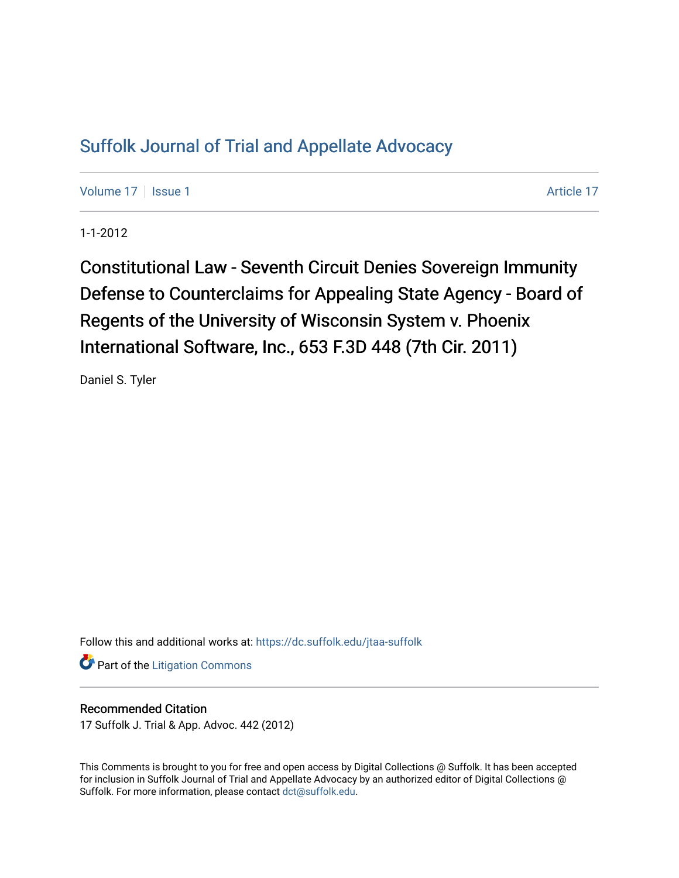## [Suffolk Journal of Trial and Appellate Advocacy](https://dc.suffolk.edu/jtaa-suffolk)

[Volume 17](https://dc.suffolk.edu/jtaa-suffolk/vol17) | [Issue 1](https://dc.suffolk.edu/jtaa-suffolk/vol17/iss1) Article 17

1-1-2012

Constitutional Law - Seventh Circuit Denies Sovereign Immunity Defense to Counterclaims for Appealing State Agency - Board of Regents of the University of Wisconsin System v. Phoenix International Software, Inc., 653 F.3D 448 (7th Cir. 2011)

Daniel S. Tyler

Follow this and additional works at: [https://dc.suffolk.edu/jtaa-suffolk](https://dc.suffolk.edu/jtaa-suffolk?utm_source=dc.suffolk.edu%2Fjtaa-suffolk%2Fvol17%2Fiss1%2F17&utm_medium=PDF&utm_campaign=PDFCoverPages) 

**Part of the [Litigation Commons](http://network.bepress.com/hgg/discipline/910?utm_source=dc.suffolk.edu%2Fjtaa-suffolk%2Fvol17%2Fiss1%2F17&utm_medium=PDF&utm_campaign=PDFCoverPages)** 

## Recommended Citation

17 Suffolk J. Trial & App. Advoc. 442 (2012)

This Comments is brought to you for free and open access by Digital Collections @ Suffolk. It has been accepted for inclusion in Suffolk Journal of Trial and Appellate Advocacy by an authorized editor of Digital Collections @ Suffolk. For more information, please contact [dct@suffolk.edu.](mailto:dct@suffolk.edu)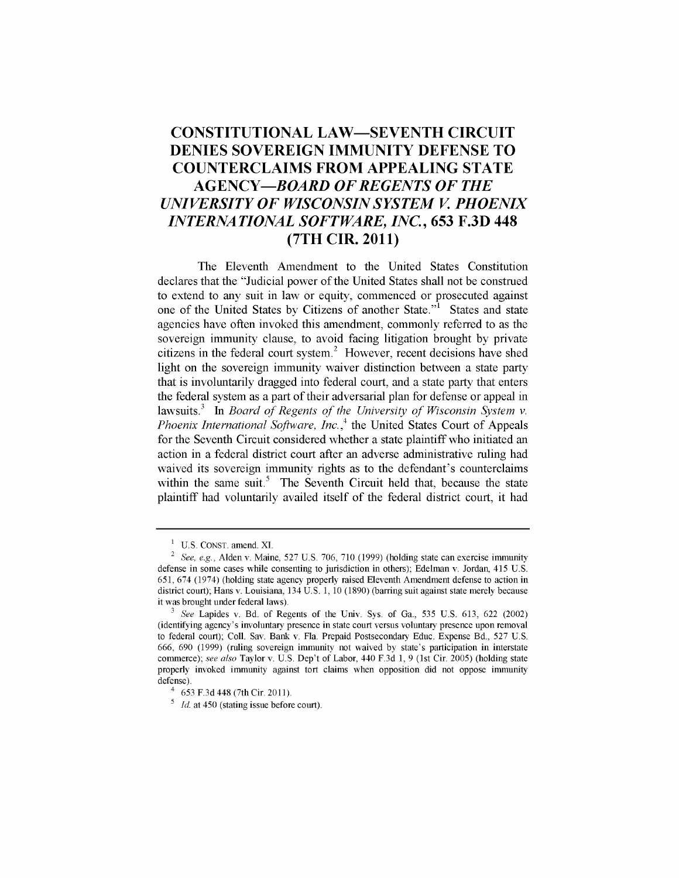## **CONSTITUTIONAL LAW-SEVENTH CIRCUIT DENIES SOVEREIGN IMMUNITY DEFENSE TO COUNTERCLAIMS FROM APPEALING STATE** *AGENCY-BOARD OF REGENTS OF THE UNIVERSITY OF WISCONSIN SYSTEM V PHOENIX INTERNATIONAL SOFTWARE, INC.,* **653 F.3D 448 (7TH CIR. 2011)**

The Eleventh Amendment to the United States Constitution declares that the "Judicial power of the United States shall not be construed to extend to any suit in law or equity, commenced or prosecuted against one of the United States **by** Citizens of another State."' States and state agencies have often invoked this amendment, commonly referred to as the sovereign immunity clause, to avoid facing litigation brought **by** private citizens in the federal court system.<sup>2</sup> However, recent decisions have shed light on the sovereign immunity waiver distinction between a state party that is involuntarily dragged into federal court, and a state party that enters the federal system as a part of their adversarial plan for defense or appeal in lawsuits.<sup>3</sup> In *Board of Regents of the University of Wisconsin System v. Phoenix International Software, Inc.*<sup>4</sup> the United States Court of Appeals for the Seventh Circuit considered whether a state plaintiff who initiated an action in a federal district court after an adverse administrative ruling had waived its sovereign immunity rights as to the defendant's counterclaims within the same suit. $5$  The Seventh Circuit held that, because the state plaintiff had voluntarily availed itself of the federal district court, it had

**I** U.S. CONST. amend. **XI.**

<sup>2</sup>*See, e.g.,* Alden v. Maine, 527 U.S. 706, 710 (1999) (holding state can exercise immunity defense in some cases while consenting to jurisdiction in others); Edelman v. Jordan\_ 415 U.S. 651, 674 (1974) (holding state agency properly raised Eleventh Amendment defense to action in district court); Hans v. Louisiana,  $134 \text{ U.S. } 1$ , 10 (1890) (barring suit against state merely because it was brought under federal laws).

**<sup>3</sup>***See* Lapides v. Bd. of Regents of the Univ. Sys. of Ga., 535 U.S. 613, 622 (2002) (identifying agency's involuntary presence in state court versus voluntary presence upon removal to federal court); Coll. Say. Bank v. Fla. Prepaid Postsecondary Educ. Expense Bd., 527 U.S. 666, 690 (1999) (ruling sovereign immunity not waived by state's participation in interstate commerce); see *also* Taylor v. U.S. Dep't of Labor, 440 F.3d 1, 9 (1st Cir. 2005) (holding state properly invoked immunity against tort claims when opposition did not oppose immunity defense).

 $4653$  F.3d 448 (7th Cir. 2011).

**<sup>5</sup>** *Id.* at 450 (stating issue before court).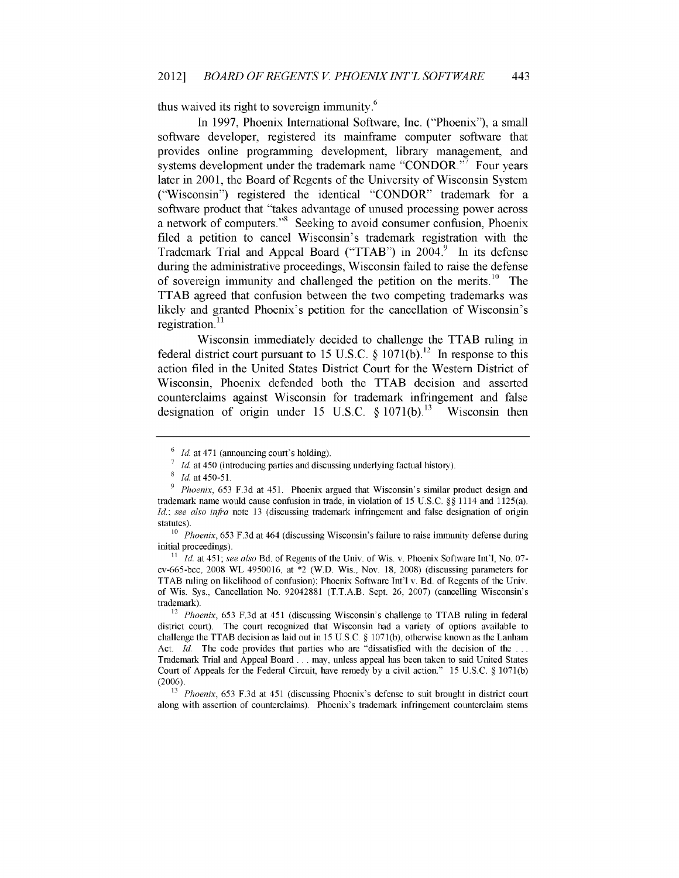thus waived its right to sovereign immunity.<sup>6</sup>

In **1997,** Phoenix International Software, Inc. ("Phoenix"), a small software developer, registered its mainframe computer software that provides online programming development, library management, and systems development under the trademark name "CONDOR."<sup>7</sup> Four years later in 2001, the Board of Regents of the University of Wisconsin System ("Wisconsin") registered the identical "CONDOR" trademark for a software product that "takes advantage of unused processing power across a network of computers."<sup>8</sup> Seeking to avoid consumer confusion, Phoenix filed a petition to cancel Wisconsin's trademark registration with the Trademark Trial and Appeal Board ("TTAB") in  $2004$ .<sup>9</sup> In its defense during the administrative proceedings, Wisconsin failed to raise the defense of sovereign immunity and challenged the petition on the merits.<sup>10</sup> The TTAB agreed that confusion between the two competing trademarks was likely and granted Phoenix's petition for the cancellation of Wisconsin's registration.<sup>11</sup>

Wisconsin immediately decided to challenge the TTAB ruling in federal district court pursuant to 15 U.S.C.  $\oint$  1071(b).<sup>12</sup> In response to this action filed in the United States District Court for the Western District of Wisconsin, Phoenix defended both the TTAB decision and asserted counterclaims against Wisconsin for trademark infringement and false designation of origin under 15 U.S.C.  $\frac{8}{1071(b)}$ .<sup>13</sup> Wisconsin then

<sup>&</sup>lt;sup>6</sup> *Id.* at 471 (announcing court's holding).

*Id.* at 450 (introducing parties and discussing underlying factual history).

*<sup>&#</sup>x27; Id.* at 450-51.

<sup>&</sup>lt;sup>9</sup> *Phoenix*, 653 F.3d at 451. Phoenix argued that Wisconsin's similar product design and trademark name would cause confusion in trade, in violation of 15 U.S.C. §§ 1114 and 1125(a). *Id.; see also infra* note 13 (discussing trademark infringement and false designation of origin statutes).

**<sup>10</sup>***Phoenix,* 653 F.3d at 464 (discussing Wisconsin's failure to raise immunity defense during initial proceedings).

*<sup>11</sup> Id.* at 451; *see also* Bd. of Regents of the Univ. of Wis. v. Phoenix Software Int'l, No. 07 cv-665-bcc, 2008 WL 4950016, at \*2 (W.D. Wis., Nov. 18, 2008) (discussing parameters for TTAB ruling on likelihood of confusion); Phoenix Software Int'l v. Bd. of Regents of the Univ. of Wis. Sys., Cancellation No. 92042881 (T.T.A.B. Sept. 26, 2007) (cancelling Wisconsin's trademark).

<sup>&</sup>lt;sup>12</sup> Phoenix, 653 F.3d at 451 (discussing Wisconsin's challenge to TTAB ruling in federal district court). The court recognized that Wisconsin had a variety of options available to challenge the TTAB decision as laid out in 15 U.S.C. § 1071(b), otherwise known as the Lanham Act. *Id.* The code provides that parties who are "dissatisfied with the decision of the **...** Trademark Trial and Appeal Board ... may, unless appeal has been taken to said United States Court of Appeals for the Federal Circuit, have remedy by a civil action." 15 U.S.C. § 1071(b) (2006).

<sup>&</sup>lt;sup>13</sup> Phoenix, 653 F.3d at 451 (discussing Phoenix's defense to suit brought in district court along with assertion of counterclaims). Phoenix's trademark infringement counterclaim stems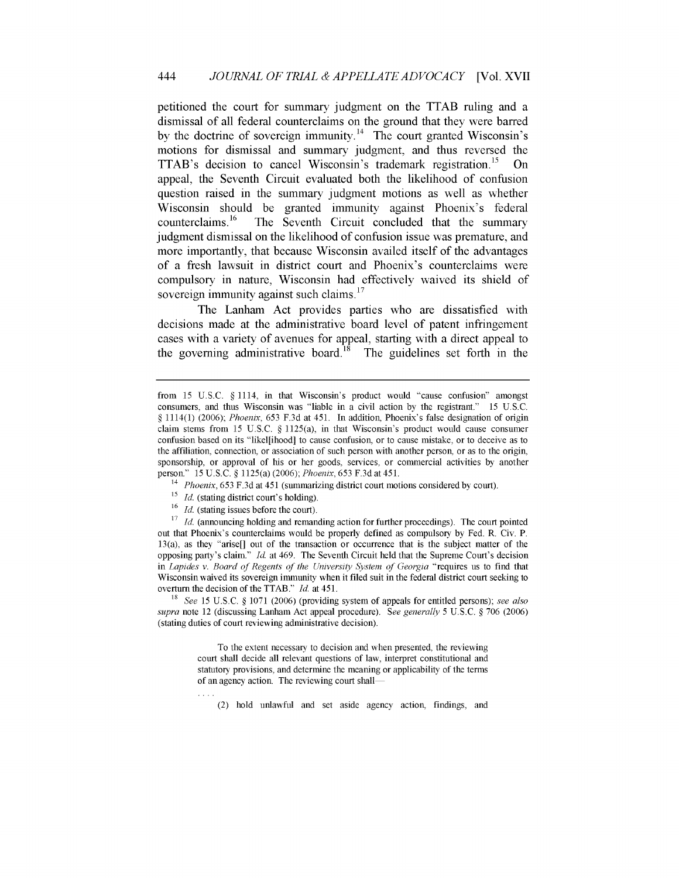petitioned the court for summary judgment on the TTAB ruling and a dismissal of all federal counterclaims on the ground that they were barred by the doctrine of sovereign immunity.<sup>14</sup> The court granted Wisconsin's motions for dismissal and summary judgment, and thus reversed the TTAB's decision to cancel Wisconsin's trademark registration.<sup>15</sup> On appeal, the Seventh Circuit evaluated both the likelihood of confusion question raised in the summary judgment motions as well as whether Wisconsin should be granted immunity against Phoenix's federal counterclaims.<sup>16</sup> The Seventh Circuit concluded that the summary judgment dismissal on the likelihood of confusion issue was premature, and more importantly, that because Wisconsin availed itself of the advantages of a fresh lawsuit in district court and Phoenix's counterclaims were compulsory in nature, Wisconsin had effectively waived its shield of sovereign immunity against such claims.<sup>17</sup>

The Lanham Act provides parties who are dissatisfied with decisions made at the administrative board level of patent infringement cases with a variety of avenues for appeal, starting with a direct appeal to the governing administrative board.<sup>18</sup> The guidelines set forth in the

- <sup>15</sup> *Id.* (stating district court's holding).
- <sup>16</sup> *Id.* (stating issues before the court).

<sup>17</sup> *Id.* (announcing holding and remanding action for further proceedings). The court pointed out that Phoenix's counterclaims would be properly defined as compulsory by Fed. R. Civ. P. 13(a), as they "arise[] out of the transaction or occurrence that is the subject matter of the opposing party's claim." *Id.* at 469. The Seventh Circuit held that the Supreme Court's decision in *Lapides v. Board of Regents of the University System of Georgia* "requires us to find that Wisconsin waived its sovereign immunity when it filed suit in the federal district court seeking to overturn the decision of the TTAB." *Id.* at 451.

<sup>18</sup>*See* 15 U.S.C. § 1071 (2006) (providing system of appeals for entitled persons); *see also supra* note 12 (discussing Lanham Act appeal procedure). *See generally* 5 U.S.C. § 706 (2006) (stating duties of court reviewing administrative decision).

> To the extent necessary to decision and when presented, the reviewing court shall decide all relevant questions of law, interpret constitutional and statutory provisions, and determine the meaning or applicability of the terms of an agency action. The reviewing court shall

(2) hold unlawful and set aside agency action, findings, and

from 15 U.S.C. § 1114, in that Wisconsin's product would "cause confusion" amongst consumers, and thus Wisconsin was "liable in a civil action **by** the registrant." 15 US.C. § 1114(1) (2006); *Phoenix,* 653 F.3d at 451. In addition, Phoenix's false designation of origin claim stems from 15 U.S.C.  $\S$  1125(a), in that Wisconsin's product would cause consumer confusion based on its "likel[ihood] to cause confusion, or to cause mistake, or to deceive as to the affiliation, connection, or association of such person with another person, or as to the origin, sponsorship, or approval of his or her goods, services, or commercial activities by another person." 15 U.S.C. § 1125(a) (2006); *Phoenix,* 653 F.3d at 451.

<sup>&</sup>lt;sup>14</sup> *Phoenix*, 653 F.3d at 451 (summarizing district court motions considered by court).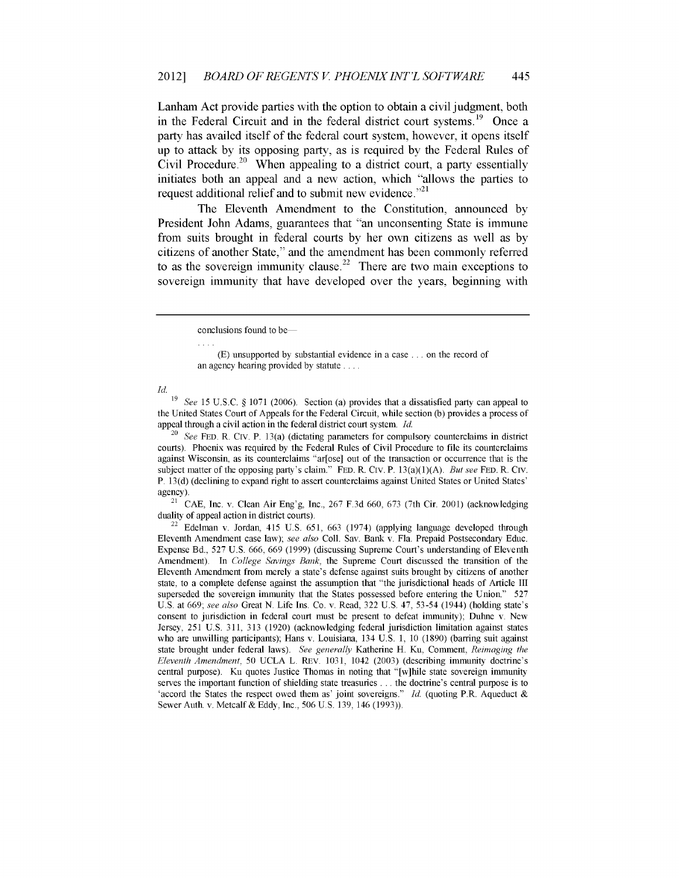Lanham Act provide parties with the option to obtain a civil judgment, both in the Federal Circuit and in the federal district court systems.<sup>19</sup> Once a party has availed itself of the federal court system, however, it opens itself up to attack **by** its opposing party, as is required **by** the Federal Rules of Civil Procedure.<sup>20</sup> When appealing to a district court, a party essentially initiates both an appeal and a new action, which "allows the parties to request additional relief and to submit new evidence **.**

The Eleventh Amendment to the Constitution, announced **by** President John Adams, guarantees that "an unconsenting State is immune from suits brought in federal courts **by** her own citizens as well as **by** citizens of another State," and the amendment has been commonly referred to as the sovereign immunity clause.<sup>22</sup> There are two main exceptions to sovereign immunity that have developed over the years, beginning with

**(E)** unsupported by substantial evidence in a case **. .** on the record of an agency hearing provided by statute ....

*Id.*

19 *See* 15 U.S.C. § 1071 (2006). Section (a) provides that a dissatisfied party can appeal to the United States Court of Appeals for the Federal Circuit, while section (b) provides a process of appeal through a civil action in the federal district court system. *Id.*

<sup>20</sup>*See* FED. R. Civ. P. 13(a) (dictating parameters for compulsory counterclaims in district courts). Phoenix was required by the Federal Rules of Civil Procedure to file its counterclaims against Wisconsin, as its counterclaims "ar[ose] out of the transaction or occurrence that is the subject matter of the opposing party's claim." FED. R. Civ. P. 13(a)(1)(A). *But see* FED. R. Civ. P. 13(d) (declining to expand right to assert counterclaims against United States or United States' agency).

<sup>21</sup> CAE, Inc. v. Clean Air Eng'g, Inc., 267 F.3d 660, 673 (7th Cir. 2001) (acknowledging duality of appeal action in district courts).

 $22$  Edelman v. Jordan, 415 U.S. 651, 663 (1974) (applying language developed through Eleventh Amendment case law); *see also* Coll. Say. Bank v. Fla. Prepaid Postsecondary Educ. Expense Bd., 527 U.S. 666, 669 (1999) (discussing Supreme Court's understanding of Eleventh Amendment). In *College Savings Bank,* the Supreme Court discussed the transition of the Eleventh Amendment from merely a state's defense against suits brought by citizens of another state, to a complete defense against the assumption that "the jurisdictional heads of Article III superseded the sovereign immunity that the States possessed before entering the Union." 527 U.S. at 669; *see also* Great N. Life Ins. Co. v. Read, 322 U.S. 47, 53-54 (1944) (holding state's consent to jurisdiction in federal court must be present to defeat immunity); Duhne v. New Jersey, 251 U.S. 311, 313 (1920) (acknowledging federal jurisdiction limitation against states who are unwilling participants); Hans v. Louisiana, 134 U.S. 1, 10 (1890) (barring suit against state brought under federal laws). *See generally* Katherine H. Ku, Comment, *Reimaging the Eleventh Amendment,* 50 UCLA L. REv. 1031, 1042 (2003) (describing immunity doctrine's central purpose). Ku quotes Justice Thomas in noting that "[w]hile state sovereign immunity serves the important function of shielding state treasuries **. . .** the doctrine's central purpose is to 'accord the States the respect owed them as' joint sovereigns." *Id.* (quoting P.R. Aqueduct & Sewer Auth. v. Metcalf & Eddy, Inc., 506 U.S. 139, 146 (1993)).

conclusions found to be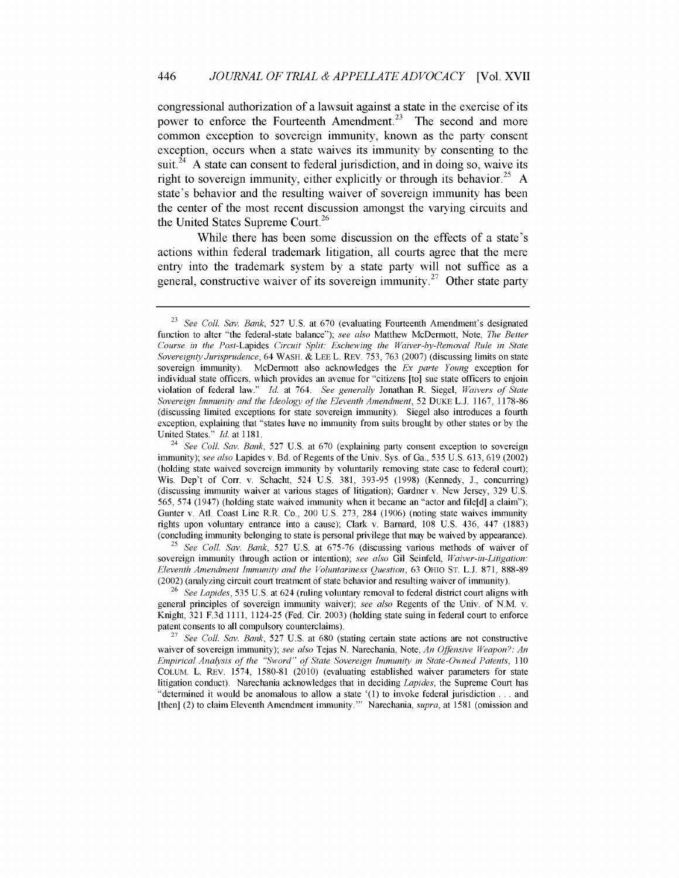congressional authorization of a lawsuit against a state in the exercise of its power to enforce the Fourteenth Amendment.<sup>23</sup> The second and more common exception to sovereign immunity, known as the party consent exception, occurs when a state waives its immunity by consenting to the suit.<sup>24</sup> A state can consent to federal jurisdiction, and in doing so, waive its right to sovereign immunity, either explicitly or through its behavior.<sup>25</sup> A state's behavior and the resulting waiver of sovereign immunity has been the center of the most recent discussion amongst the varying circuits and the United States Supreme Court.<sup>26</sup>

While there has been some discussion on the effects of a state's actions within federal trademark litigation, all courts agree that the mere entry into the trademark system **by** a state party will not suffice as a general, constructive waiver of its sovereign immunity.<sup>27</sup> Other state party

**<sup>25</sup>***See* Coll. *Sav. Bank,* **527** U.S. at **675-76** (discussing various methods of waiver of sovereign immunity through action or intention); *see also* Gil Seinfeld, *Waiver-in-Litigation: Eleventh Amendment Immunity and the Voluntariness Question,* 63 OHIO **ST.** L.J. 871, 888-89 (2002) (analyzing circuit court treatment of state behavior and resulting waiver of immunity).

**<sup>26</sup>***See Lapides,* 535 U.S. at 624 (ruling voluntary removal to federal district court aligns with general principles of sovereign immunity waiver); *see also* Regents of the Univ. of N.M. v. Knight, 321 F.3d 1111, 1124-25 (Fed. Cir. 2003) (holding state suing in federal court to enforce patent consents to all compulsory counterclaims).

**<sup>27</sup>***See* Coll. *Sav. Bank,* 527 U.S. at 680 (stating certain state actions are not constructive waiver of sovereign immunity); *see also* Tejas N. Narechania, Note, *An Offensive Weapon?: An Empirical Analysis of the "Sword" of State Sovereign Immunity in State-Owned Patents, 110* COLUM. L. REv. 1574, 1580-81 (2010) (evaluating established waiver parameters for state litigation conduct). Narechania acknowledges that in deciding *Lapides,* the Supreme Court has "determined it would be anomalous to allow a state '(1) to invoke federal jurisdiction **...** and [then] (2) to claim Eleventh Amendment immunity."' Narechania, *supra,* at 1581 (omission and

**<sup>23</sup>***See* Coll. *Say. Bank,* 527 U.S. at 670 (evaluating Fourteenth Amendment's designated function to alter "the federal-state balance"); *see also* Matthew McDermott, Note, *The Better Course in the Post-Lapides Circuit Split: Eschewing the Waiver-by-Removal Rule in State Sovereignty Jurisprudence,* 64 WASH. & LEE L. REv. 753, 763 (2007) (discussing limits on state sovereign immunity). McDermott also acknowledges the *Ex parte Young* exception for individual state officers, which provides an avenue for "citizens [to] sue state officers to enjoin violation of federal law." Id. at 764. *See generally* Jonathan R. Siegel, *Waivers of State Sovereign Immunity and the Ideology of the Eleventh Amendment,* 52 DUKE L.J. 1167, 1178-86 (discussing limited exceptions for state sovereign immunity). Siegel also introduces a fourth exception, explaining that "states have no immunity from suits brought by other states or by the United States." Id. at 1181.

<sup>24</sup>*See* Coll. *Sav. Bank,* 527 U.S. at 670 (explaining party consent exception to sovereign immunity); *see also* Lapides v. Bd. of Regents of the Univ. Sys. of Ga., 535 U.S. 613, 619 (2002) (holding state waived sovereign immunity by voluntarily removing state case to federal court); Wis. Dep't of Corr. v. Schacht, 524 U.S. 381, 393-95 (1998) (Kennedy, J., concurring) (discussing immunity waiver at various stages of litigation); Gardner v. New Jersey, 329 U.S. 565, 574 (1947) (holding state waived immunity when it became an "actor and file[d] a claim"); Gunter v. Atl. Coast Line R.R. Co., 200 U.S. 273, 284 (1906) (noting state waives immunity rights upon voluntary entrance into a cause); Clark v. Barnard, 108 U.S. 436, 447 (1883) (concluding immunity belonging to state is personal privilege that may be waived by appearance).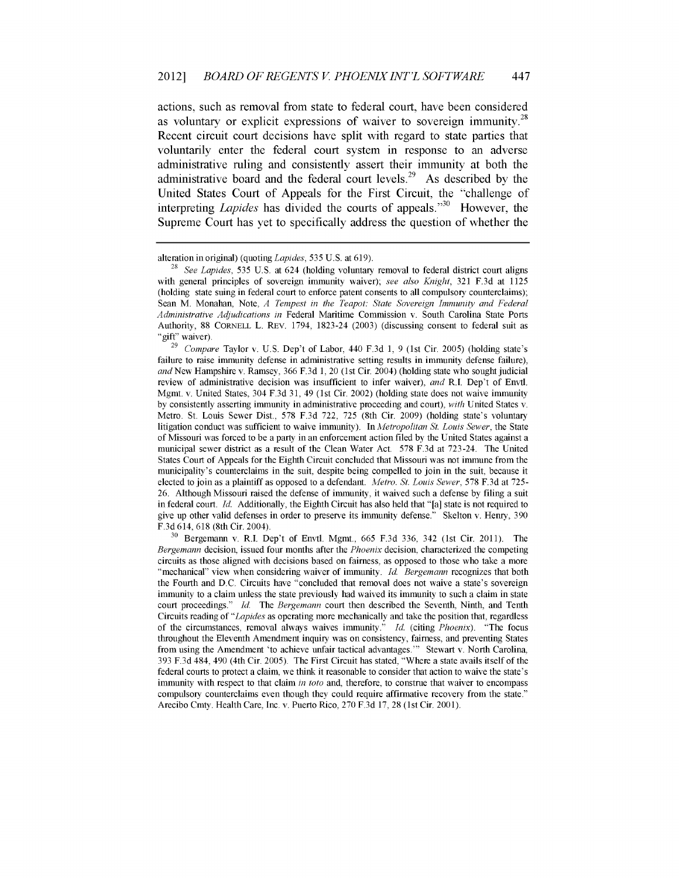actions, such as removal from state to federal court, have been considered as voluntary or explicit expressions of waiver to sovereign immunity.<sup>28</sup> Recent circuit court decisions have split with regard to state parties that voluntarily enter the federal court system in response to an adverse administrative ruling and consistently assert their immunity at both the administrative board and the federal court levels.<sup>29</sup> As described by the United States Court of Appeals for the First Circuit, the "challenge of interpreting *Lapides* has divided the courts of appeals.<sup>330</sup> However, the Supreme Court has yet to specifically address the question of whether the

<sup>29</sup>*Compare* Taylor v. U.S. Dep't of Labor, 440 F.3d 1, 9 (1st Cir. 2005) (holding state's failure to raise immunity defense in administrative setting results in immunity defense failure), *and* New Hampshire v. Ramsey, 366 F.3d 1, 20 (1st Cir. 2004) (holding state who sought judicial review of administrative decision was insufficient to infer waiver), *and* R.I. Dep't of Envtl. Mgmt. v. United States, 304 F.3d 31, 49 (1st Cir. 2002) (holding state does not waive immunity by consistently asserting immunity in administrative proceeding and court), *with* United States v. Metro. St. Louis Sewer Dist., 578 F.3d 722, 725 (8th Cir. 2009) (holding state's voluntary litigation conduct was sufficient to waive immunity). In *Metropolitan St. Louis Sewer,* the State of Missouri was forced to be a party in an enforcement action filed by the United States against a municipal sewer district as a result of the Clean Water Act. 578 F.3d at 723-24. The United States Court of Appeals for the Eighth Circuit concluded that Missouri was not immune from the municipality's counterclaims in the suit, despite being compelled to join in the suit, because it elected to join as a plaintiff as opposed to a defendant. *Metro. St. Louis Sewer,* 578 F.3d at 725- 26. Although Missouri raised the defense of immunity, it waived such a defense by filing a suit in federal court. *Id.* Additionally, the Eighth Circuit has also held that "[a] state is not required to give up other valid defenses in order to preserve its immunity defense." Skelton v. Henry, 390 F.3d 614, 618 (8th Cir. 2004).

**<sup>30</sup>**Bergemann v. R.I. Dep't of Envtl. Mgmt., 665 F.3d 336, 342 (1st Cir. 2011). The *Bergemann* decision, issued four months after the *Phoenix* decision, characterized the competing circuits as those aligned with decisions based on fairness, as opposed to those who take a more "mechanical" view when considering waiver of immunity. *Id. Bergemann* recognizes that both the Fourth and D.C. Circuits have "concluded that removal does not waive a state's sovereign immunity to a claim unless the state previously had waived its immunity to such a claim in state court proceedings." *Id.* The *Bergemann* court then described the Seventh, Ninth, and Tenth Circuits reading of *"Lapides* as operating more mechanically and take the position that, regardless of the circumstances, removal always waives immunity." *Id.* (citing *Phoenix).* "The focus throughout the Eleventh Amendment inquiry was on consistency, fairness, and preventing States from using the Amendment 'to achieve unfair tactical advantages."' Stewart v. North Carolina, 393 F.3d 484, 490 (4th Cir. 2005). The First Circuit has stated, "Where a state avails itself of the federal courts to protect a claim, we think it reasonable to consider that action to waive the state's immunity with respect to that claim *in toto* and, therefore, to construe that waiver to encompass compulsory counterclaims even though they could require affinnative recovery from the state." Arecibo Cmty. Health Care, Inc. v. Puerto Rico, 270 F.3d 17, 28 (1st Cir. 2001).

alteration in original) (quoting *Lapides,* 535 U.S. at 619).

<sup>28</sup>*See Lapides,* 535 **U.S.** at 624 (holding voluntary removal to federal district court aligns with general principles of sovereign immunity waiver); *see also Knight,* 321 F.3d at 1125 (holding state suing in federal court to enforce patent consents to all compulsory counterclaims); Sean M. Monahan, Note, *A Tempest in the Teapot: State Sovereign Immunity and Federal Administrative Adjudications in* Federal Maritime Commission v. South Carolina State Ports Authority, 88 CORNELL L. REv. 1794, 1823-24 (2003) (discussing consent to federal suit as "gift" waiver).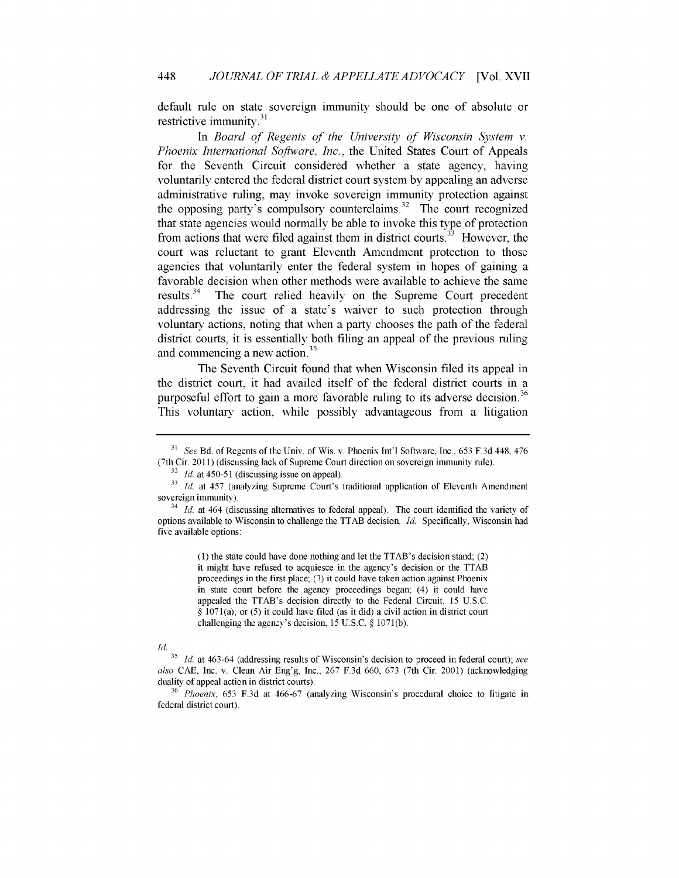default rule on state sovereign immunity should be one of absolute or restrictive immunity.<sup>31</sup>

In *Board of Regents of the University of Wisconsin System v. Phoenix International Software, Inc.,* the United States Court of Appeals for the Seventh Circuit considered whether a state agency, having voluntarily entered the federal district court system by appealing an adverse administrative ruling, may invoke sovereign immunity protection against the opposing party's compulsory counterclaims.<sup>32</sup> The court recognized that state agencies would normally be able to invoke this type of protection from actions that were filed against them in district courts.<sup>33</sup> However, the court was reluctant to grant Eleventh Amendment protection to those agencies that voluntarily enter the federal system in hopes of gaining a favorable decision when other methods were available to achieve the same results.<sup>34</sup> The court relied heavily on the Supreme Court precedent addressing the issue of a state's waiver to such protection through voluntary actions, noting that when a party chooses the path of the federal district courts, it is essentially both filing an appeal of the previous ruling and commencing a new action.<sup>35</sup>

The Seventh Circuit found that when Wisconsin filed its appeal in the district court, it had availed itself of the federal district courts in a purposeful effort to gain a more favorable ruling to its adverse decision.<sup>36</sup> This voluntary action, while possibly advantageous from a litigation

(1) the state could have done nothing and let the TTAB's decision stand; (2) it might have refused to acquiesce in the agency's decision or the TTAB proceedings in the first place; (3) it could have taken action against Phoenix in state court before the agency proceedings began; (4) it could have appealed the TTAB's decision directly to the Federal Circuit, 15 U.S.C. § 1071(a); or (5) it could have filed (as it did) a civil action in district court challenging the agency's decision, 15 U.S.C. § 1071(b).

## *Id.*

<sup>31</sup>*See* Bd. of Regents of the Univ. of Wis. v. Phoenix Int'l Software, Inc., 653 F.3d 448, 476 (7th Cir. 2011) (discussing lack of Supreme Court direction on sovereign immunity rule).

<sup>&</sup>lt;sup>32</sup> *Id.* at 450-51 (discussing issue on appeal).

**<sup>33</sup>***Id.* at 457 (analyzing Supreme Court's traditional application of Eleventh Amendment sovereign immunity).

<sup>&</sup>lt;sup>34</sup> *Id.* at 464 (discussing alternatives to federal appeal). The court identified the variety of options available to Wisconsin to challenge the TTAB decision. *Id.* Specifically, Wisconsin had five available options:

*<sup>35</sup>Id.* at 463-64 (addressing results of Wisconsin's decision to proceed in federal court); *see also* CAE, Inc. v. Clean Air Eng'g, Inc., 267 F.3d 660, 673 (7th Cir. 2001) (acknowledging duality of appeal action in district courts).

<sup>36</sup>*Phoenix,* 653 F.3d at 466-67 (analyzing Wisconsin's procedural choice to litigate in federal district court).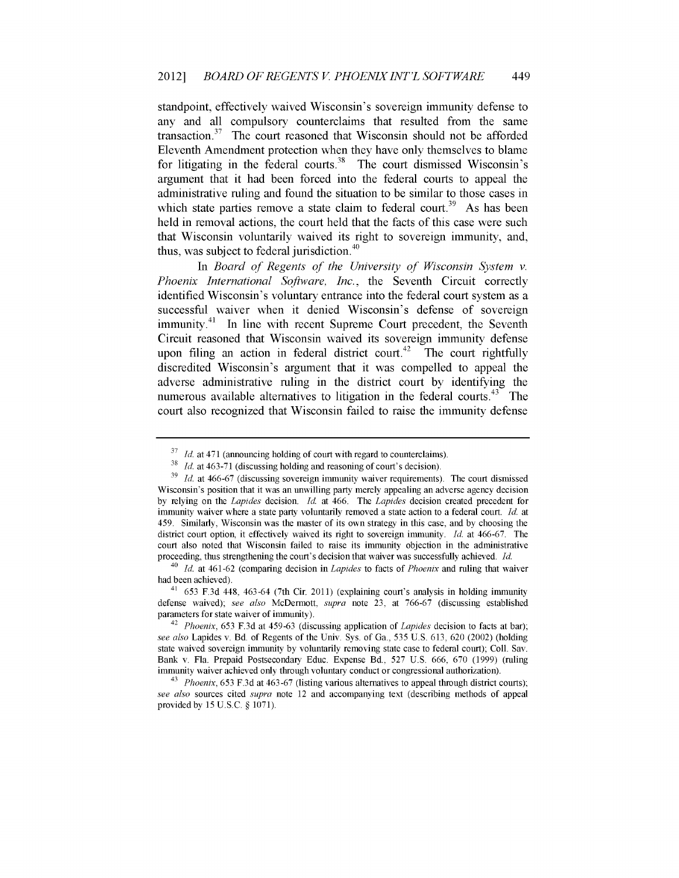standpoint, effectively waived Wisconsin's sovereign immunity defense to any and all compulsory counterclaims that resulted from the same transaction. $37$  The court reasoned that Wisconsin should not be afforded Eleventh Amendment protection when they have only themselves to blame for litigating in the federal courts.<sup>38</sup> The court dismissed Wisconsin's argument that it had been forced into the federal courts to appeal the administrative ruling and found the situation to be similar to those cases in which state parties remove a state claim to federal court.<sup>39</sup> As has been held in removal actions, the court held that the facts of this case were such that Wisconsin voluntarily waived its right to sovereign immunity, and, thus, was subject to federal jurisdiction. $40$ 

In *Board of Regents of the University of Wisconsin System v. Phoenix International Software, Inc.,* the Seventh Circuit correctly identified Wisconsin's voluntary entrance into the federal court system as a successful waiver when it denied Wisconsin's defense of sovereign immunity.<sup>41</sup> In line with recent Supreme Court precedent, the Seventh Circuit reasoned that Wisconsin waived its sovereign immunity defense upon filing an action in federal district court.<sup> $42$ </sup> The court rightfully discredited Wisconsin's argument that it was compelled to appeal the adverse administrative ruling in the district court by identifying the numerous available alternatives to litigation in the federal courts.<sup>43</sup> The court also recognized that Wisconsin failed to raise the immunity defense

<sup>&</sup>lt;sup>37</sup>*Id.* at 471 (announcing holding of court with regard to counterclaims).

*<sup>38</sup>Id.* at 463-71 (discussing holding and reasoning of court's decision).

**<sup>39</sup>***Id.* at 466-67 (discussing sovereign immunity waiver requirements). The court dismissed Wisconsin's position that it was an unwilling party merely appealing an adverse agency decision by relying on the *Lapides* decision. *Id.* at 466. The *Lapides* decision created precedent for immunity waiver where a state party voluntarily removed a state action to a federal court. *Id.* at 459. Similarly, Wisconsin was the master of its own strategy in this case, and by choosing the district court option, it effectively waived its right to sovereign immunity. *Id.* at 466-67. The court also noted that Wisconsin failed to raise its immunity objection in the administrative proceeding, thus strengthening the court's decision that waiver was successfully achieved. *Id.*

<sup>40</sup>*Id.* at 461-62 (comparing decision in *Lapides* to facts of *Phoenix* and ruling that waiver had been achieved).

 $41$  653 F.3d 448, 463-64 (7th Cir. 2011) (explaining court's analysis in holding immunity defense waived); *see also* McDermott, *supra* note 23, at 766-67 (discussing established parameters for state waiver of immunity).

<sup>42</sup>*Phoenix,* 653 F.3d at 459-63 (discussing application of *Lapides* decision to facts at bar); *see also* Lapides v. Bd. of Regents of the Univ. Sys. of Ga., 535 U.S. 613, 620 (2002) (holding state waived sovereign immunity by voluntarily removing state case to federal court); Coll. Say. Bank v. Fla. Prepaid Postsecondary Educ. Expense Bd., 527 U.S. 666, 670 (1999) (ruling immunity waiver achieved only through voluntary conduct or congressional authorization).

<sup>&</sup>lt;sup>43</sup> *Phoenix,* 653 F.3d at 463-67 (listing various alternatives to appeal through district courts); *see also* sources cited *supra* note 12 and accompanying text (describing methods of appeal provided by 15 U.S.C. § 1071).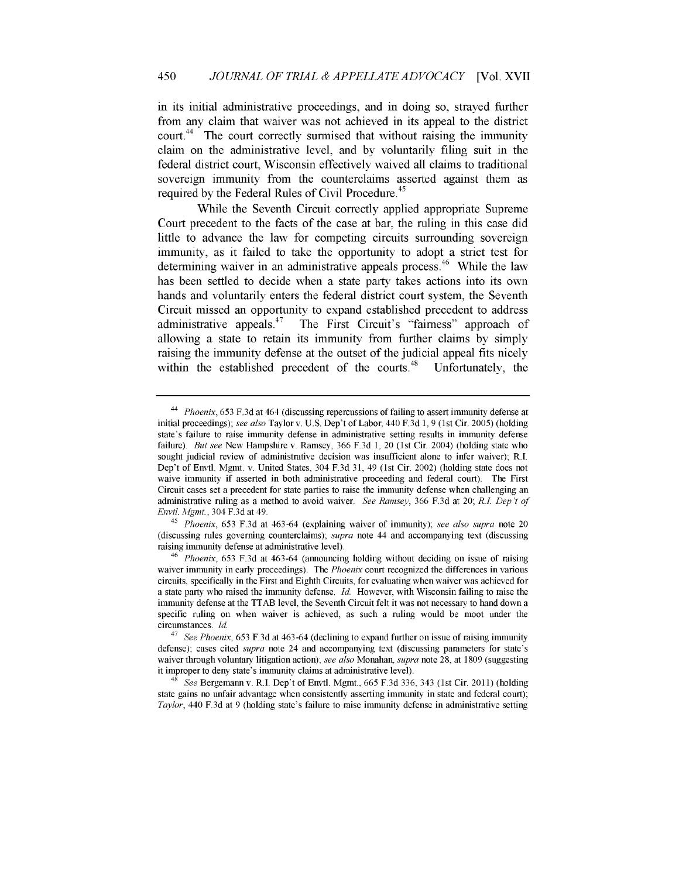in its initial administrative proceedings, and in doing so, strayed further from any claim that waiver was not achieved in its appeal to the district court.<sup>44</sup> The court correctly surmised that without raising the immunity claim on the administrative level, and by voluntarily filing suit in the federal district court, Wisconsin effectively waived all claims to traditional sovereign immunity from the counterclaims asserted against them as required by the Federal Rules of Civil Procedure. <sup>45</sup>

While the Seventh Circuit correctly applied appropriate Supreme Court precedent to the facts of the case at bar, the ruling in this case did little to advance the law for competing circuits surrounding sovereign immunity, as it failed to take the opportunity to adopt a strict test for determining waiver in an administrative appeals process.<sup>46</sup> While the law has been settled to decide when a state party takes actions into its own hands and voluntarily enters the federal district court system, the Seventh Circuit missed an opportunity to expand established precedent to address administrative appeals. $47$  The First Circuit's "fairness" approach of allowing a state to retain its immunity from further claims by simply raising the immunity defense at the outset of the judicial appeal fits nicely within the established precedent of the courts. $48$  Unfortunately, the

<sup>44</sup>*Phoenix,* 653 **F.3d** at 464 (discussing repercussions of failing to assert immunity defense at initial proceedings); *see also* Taylor v. U.S. Dep't of Labor, 440 F.3d 1, 9 (1st Cir. 2005) (holding state's failure to raise immunity defense in administrative setting results in immunity defense failure). *But see* New Hampshire v. Ramsey, 366 F.3d 1, 20 (1st Cir. 2004) (holding state who sought judicial review of administrative decision was insufficient alone to infer waiver); R.I. Dep't of Envtl. Mgmt. v. United States, 304 F.3d 31, 49 (1st Cir. 2002) (holding state does not waive immunity if asserted in both administrative proceeding and federal court). The First Circuit cases set a precedent for state parties to raise the immunity defense when challenging an administrative ruling as a method to avoid waiver. *See Ramsey,* 366 F.3d at 20; *R.L Dep't of Envtl. Mgmt.,* 304 F.3d at 49.

<sup>45</sup>*Phoenix,* 653 F.3d at 463-64 (explaining waiver of immunity); *see also supra* note 20 (discussing rules governing counterclaims); *supra* note 44 and accompanying text (discussing raising immunity defense at administrative level).

<sup>46</sup>*Phoenix,* 653 F.3d at 463-64 (announcing holding without deciding on issue of raising waiver immunity in early proceedings). The *Phoenix* court recognized the differences in various circuits, specifically in the First and Eighth Circuits, for evaluating when waiver was achieved for a state party who raised the immunity defense. *Id.* However, with Wisconsin failing to raise the immunity defense at the TTAB level, the Seventh Circuit felt it was not necessary to hand down a specific ruling on when waiver is achieved, as such a ruling would be moot under the circumstances. *Id.*

<sup>47</sup>*See Phoenix,* 653 F.3d at 463 -64 (declining to expand further on issue of raising immunity defense); cases cited *supra* note 24 and accompanying text (discussing parameters for state's waiver through voluntary litigation action); *see also* Monahan, *supra* note 28, at 1809 (suggesting it improper to deny state's immunity claims at administrative level).

<sup>48</sup>*See* Bergemannv. R.I. Dep't of Envtl. Mgmt., 665 F.3d 336, 343 (1st Cir. 2011) (holding state gains no unfair advantage when consistently asserting immunity in state and federal court); *Taylor,* 440 F.3d at 9 (holding state's failure to raise immunity defense in administrative setting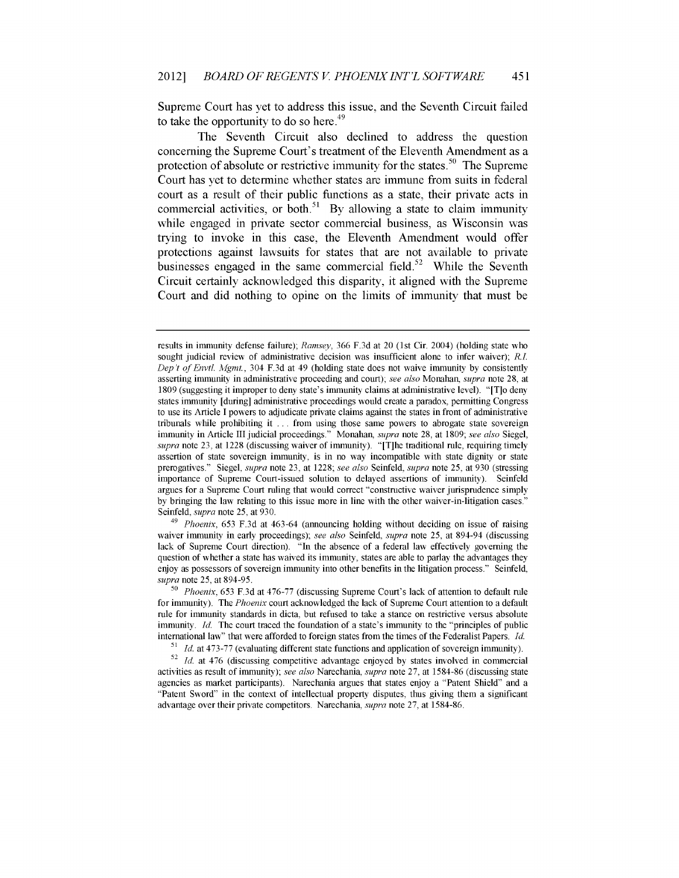Supreme Court has yet to address this issue, and the Seventh Circuit failed to take the opportunity to do so here.<sup>49</sup>

The Seventh Circuit also declined to address the question concerning the Supreme Court's treatment of the Eleventh Amendment as a protection of absolute or restrictive immunity for the states.<sup>50</sup> The Supreme Court has yet to determine whether states are immune from suits in federal court as a result of their public functions as a state, their private acts in commercial activities, or both.<sup>51</sup> By allowing a state to claim immunity while engaged in private sector commercial business, as Wisconsin was trying to invoke in this case, the Eleventh Amendment would offer protections against lawsuits for states that are not available to private businesses engaged in the same commercial field.<sup>52</sup> While the Seventh Circuit certainly acknowledged this disparity, it aligned with the Supreme Court and did nothing to opine on the limits of immunity that must be

<sup>49</sup>*Phoenix,* 653 F.3d at 463-64 (announcing holding without deciding on issue of raising waiver immunity in early proceedings); *see also* Seinfeld, *supra* note 25, at 894-94 (discussing lack of Supreme Court direction). "In the absence of a federal law effectively governing the question of whether a state has waived its immunity, states are able to parlay the advantages they enjoy as possessors of sovereign immunity into other benefits in the litigation process." Seinfeld, *supra* note 25, at 894-95.

results in immunity defense failure); *Ramsey,* 366 F.3d at 20 (1st Cir. 2004) (holding state who sought judicial review of administrative decision was insufficient alone to infer waiver); *R.L Dep't of Envtl. Mgmt.*, 304 F.3d at 49 (holding state does not waive immunity by consistently asserting immunity in administrative proceeding and court); *see also* Monahan, *supra* note 28, at 1809 (suggesting it improper to deny state's immunity claims at administrative level). "[T]o deny states immunity [during] administrative proceedings would create a paradox, permitting Congress to use its Article I powers to adjudicate private claims against the states in front of administrative tribunals while prohibiting it ... from using those same powers to abrogate state sovereign immunity in Article III judicial proceedings." Monahan, *supra* note 28, at 1809; *see also* Siegel, *supra* note 23, at 1228 (discussing waiver of immunity). "[T]he traditional rule, requiring timely assertion of state sovereign immunity, is in no way incompatible with state dignity or state prerogatives." Siegel, *supra* note 23, at 1228; *see also* Seinfeld, *supra* note 25, at 930 (stressing importance of Supreme Court-issued solution to delayed assertions of immunity). Seinfeld argues for a Supreme Court ruling that would correct "constructive waiver jurisprudence simply by bringing the law relating to this issue more in line with the other waiver-in-litigation cases." Seinfeld, *supra* note 25, at 930.

**<sup>50</sup>***Phoenix,* 653 F.3d at 476-77 (discussing Supreme Court's lack of attention to default rule for immunity). The *Phoenix* court acknowledged the lack of Supreme Court attention to a default rule for immunity standards in dicta, but refused to take a stance on restrictive versus absolute immunity. *Id.* The court traced the foundation of a state's immunity to the "principles of public international law" that were afforded to foreign states from the times of the Federalist Papers. *Id.*

*<sup>51</sup> Id.* at 473-77 (evaluating different state functions and application of sovereign immunity).

<sup>&</sup>lt;sup>52</sup> *Id.* at 476 (discussing competitive advantage enjoyed by states involved in commercial activities as result of immunity); *see also* Narechania, *supra* note 27, at 1584-86 (discussing state agencies as market participants). Narechania argues that states enjoy a "Patent Shield" and a "Patent Sword" in the context of intellectual property disputes, thus giving them a significant advantage over their private competitors. Narechania, *supra* note 27, at 1584-86.